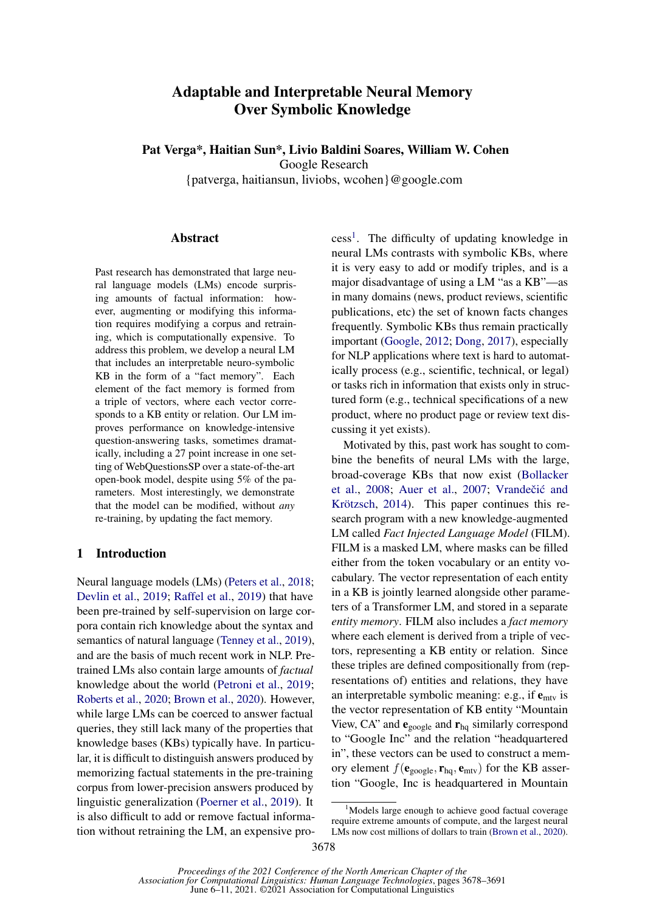# Adaptable and Interpretable Neural Memory Over Symbolic Knowledge

Pat Verga\*, Haitian Sun\*, Livio Baldini Soares, William W. Cohen

Google Research

{patverga, haitiansun, liviobs, wcohen}@google.com

#### Abstract

Past research has demonstrated that large neural language models (LMs) encode surprising amounts of factual information: however, augmenting or modifying this information requires modifying a corpus and retraining, which is computationally expensive. To address this problem, we develop a neural LM that includes an interpretable neuro-symbolic KB in the form of a "fact memory". Each element of the fact memory is formed from a triple of vectors, where each vector corresponds to a KB entity or relation. Our LM improves performance on knowledge-intensive question-answering tasks, sometimes dramatically, including a 27 point increase in one setting of WebQuestionsSP over a state-of-the-art open-book model, despite using 5% of the parameters. Most interestingly, we demonstrate that the model can be modified, without *any* re-training, by updating the fact memory.

# 1 Introduction

Neural language models (LMs) [\(Peters et al.,](#page-10-0) [2018;](#page-10-0) [Devlin et al.,](#page-9-0) [2019;](#page-9-0) [Raffel et al.,](#page-10-1) [2019\)](#page-10-1) that have been pre-trained by self-supervision on large corpora contain rich knowledge about the syntax and semantics of natural language [\(Tenney et al.,](#page-11-0) [2019\)](#page-11-0), and are the basis of much recent work in NLP. Pretrained LMs also contain large amounts of *factual* knowledge about the world [\(Petroni et al.,](#page-10-2) [2019;](#page-10-2) [Roberts et al.,](#page-11-1) [2020;](#page-11-1) [Brown et al.,](#page-9-1) [2020\)](#page-9-1). However, while large LMs can be coerced to answer factual queries, they still lack many of the properties that knowledge bases (KBs) typically have. In particular, it is difficult to distinguish answers produced by memorizing factual statements in the pre-training corpus from lower-precision answers produced by linguistic generalization [\(Poerner et al.,](#page-10-3) [2019\)](#page-10-3). It is also difficult to add or remove factual information without retraining the LM, an expensive pro-

cess<sup>[1](#page-0-0)</sup>. The difficulty of updating knowledge in neural LMs contrasts with symbolic KBs, where it is very easy to add or modify triples, and is a major disadvantage of using a LM "as a KB"—as in many domains (news, product reviews, scientific publications, etc) the set of known facts changes frequently. Symbolic KBs thus remain practically important [\(Google,](#page-9-2) [2012;](#page-9-2) [Dong,](#page-9-3) [2017\)](#page-9-3), especially for NLP applications where text is hard to automatically process (e.g., scientific, technical, or legal) or tasks rich in information that exists only in structured form (e.g., technical specifications of a new product, where no product page or review text discussing it yet exists).

Motivated by this, past work has sought to combine the benefits of neural LMs with the large, broad-coverage KBs that now exist [\(Bollacker](#page-9-4) [et al.,](#page-9-4) [2008;](#page-9-4) [Auer et al.,](#page-9-5) [2007;](#page-9-5) Vrandečić and [Krötzsch,](#page-11-2) [2014\)](#page-11-2). This paper continues this research program with a new knowledge-augmented LM called *Fact Injected Language Model* (FILM). FILM is a masked LM, where masks can be filled either from the token vocabulary or an entity vocabulary. The vector representation of each entity in a KB is jointly learned alongside other parameters of a Transformer LM, and stored in a separate *entity memory*. FILM also includes a *fact memory* where each element is derived from a triple of vectors, representing a KB entity or relation. Since these triples are defined compositionally from (representations of) entities and relations, they have an interpretable symbolic meaning: e.g., if  $e<sub>mtv</sub>$  is the vector representation of KB entity "Mountain View, CA" and  $e_{\text{google}}$  and  $r_{\text{hq}}$  similarly correspond to "Google Inc" and the relation "headquartered in", these vectors can be used to construct a memory element  $f(\mathbf{e}_{\text{google}}, \mathbf{r}_{\text{hq}}, \mathbf{e}_{\text{mtv}})$  for the KB assertion "Google, Inc is headquartered in Mountain

<span id="page-0-0"></span><sup>&</sup>lt;sup>1</sup>Models large enough to achieve good factual coverage require extreme amounts of compute, and the largest neural LMs now cost millions of dollars to train [\(Brown et al.,](#page-9-1) [2020\)](#page-9-1).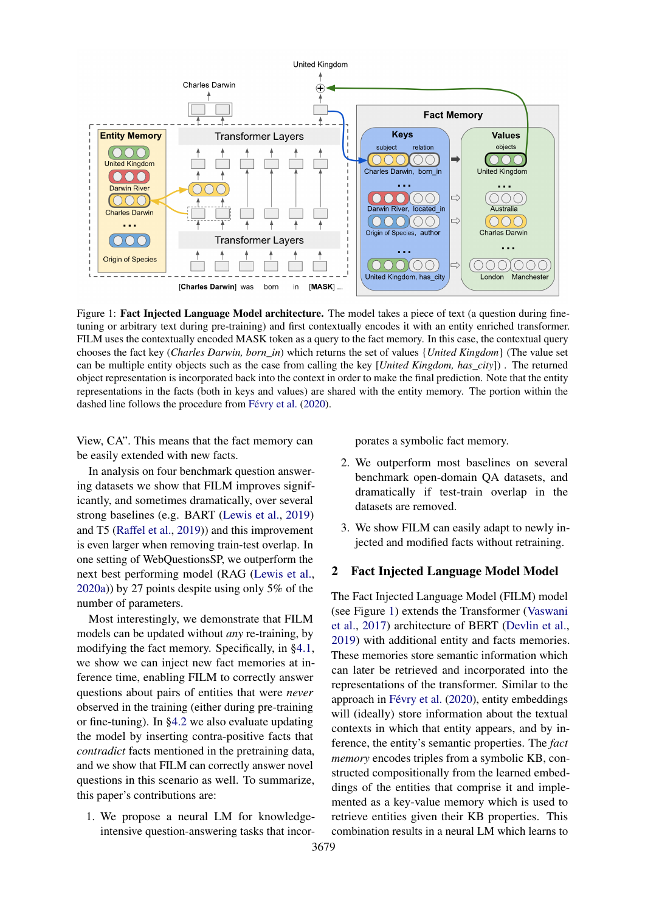<span id="page-1-0"></span>

Figure 1: Fact Injected Language Model architecture. The model takes a piece of text (a question during finetuning or arbitrary text during pre-training) and first contextually encodes it with an entity enriched transformer. FILM uses the contextually encoded MASK token as a query to the fact memory. In this case, the contextual query chooses the fact key (*Charles Darwin, born\_in*) which returns the set of values {*United Kingdom*} (The value set can be multiple entity objects such as the case from calling the key [*United Kingdom, has\_city*]) . The returned object representation is incorporated back into the context in order to make the final prediction. Note that the entity representations in the facts (both in keys and values) are shared with the entity memory. The portion within the dashed line follows the procedure from [Févry et al.](#page-9-6) [\(2020\)](#page-9-6).

View, CA". This means that the fact memory can be easily extended with new facts.

In analysis on four benchmark question answering datasets we show that FILM improves significantly, and sometimes dramatically, over several strong baselines (e.g. BART [\(Lewis et al.,](#page-10-4) [2019\)](#page-10-4) and T5 [\(Raffel et al.,](#page-10-1) [2019\)](#page-10-1)) and this improvement is even larger when removing train-test overlap. In one setting of WebQuestionsSP, we outperform the next best performing model (RAG [\(Lewis et al.,](#page-10-5) [2020a\)](#page-10-5)) by 27 points despite using only 5% of the number of parameters.

Most interestingly, we demonstrate that FILM models can be updated without *any* re-training, by modifying the fact memory. Specifically, in [§4.1,](#page-6-0) we show we can inject new fact memories at inference time, enabling FILM to correctly answer questions about pairs of entities that were *never* observed in the training (either during pre-training or fine-tuning). In [§4.2](#page-7-0) we also evaluate updating the model by inserting contra-positive facts that *contradict* facts mentioned in the pretraining data, and we show that FILM can correctly answer novel questions in this scenario as well. To summarize, this paper's contributions are:

1. We propose a neural LM for knowledgeintensive question-answering tasks that incorporates a symbolic fact memory.

- 2. We outperform most baselines on several benchmark open-domain QA datasets, and dramatically if test-train overlap in the datasets are removed.
- 3. We show FILM can easily adapt to newly injected and modified facts without retraining.

### 2 Fact Injected Language Model Model

The Fact Injected Language Model (FILM) model (see Figure [1\)](#page-1-0) extends the Transformer [\(Vaswani](#page-11-3) [et al.,](#page-11-3) [2017\)](#page-11-3) architecture of BERT [\(Devlin et al.,](#page-9-0) [2019\)](#page-9-0) with additional entity and facts memories. These memories store semantic information which can later be retrieved and incorporated into the representations of the transformer. Similar to the approach in [Févry et al.](#page-9-6) [\(2020\)](#page-9-6), entity embeddings will (ideally) store information about the textual contexts in which that entity appears, and by inference, the entity's semantic properties. The *fact memory* encodes triples from a symbolic KB, constructed compositionally from the learned embeddings of the entities that comprise it and implemented as a key-value memory which is used to retrieve entities given their KB properties. This combination results in a neural LM which learns to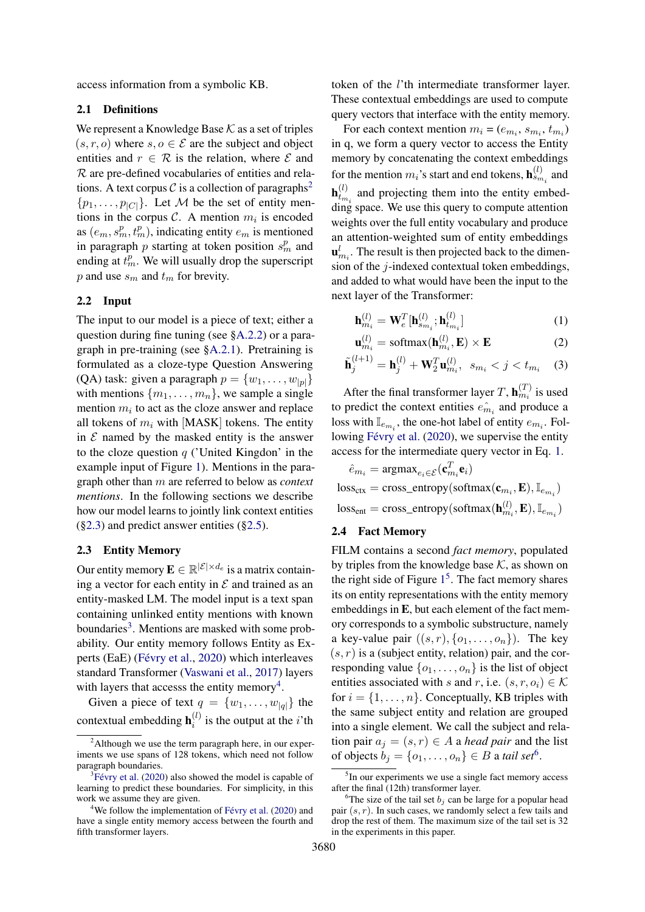access information from a symbolic KB.

### <span id="page-2-7"></span>2.1 Definitions

We represent a Knowledge Base  $K$  as a set of triples  $(s, r, o)$  where  $s, o \in \mathcal{E}$  are the subject and object entities and  $r \in \mathcal{R}$  is the relation, where  $\mathcal E$  and  $R$  are pre-defined vocabularies of entities and rela-tions. A text corpus C is a collection of paragraphs<sup>[2](#page-2-0)</sup>  $\{p_1, \ldots, p_{|C|}\}.$  Let M be the set of entity mentions in the corpus  $C$ . A mention  $m_i$  is encoded as  $(e_m, s_m^p, t_m^p)$ , indicating entity  $e_m$  is mentioned in paragraph  $p$  starting at token position  $s_m^p$  and ending at  $t_m^p$ . We will usually drop the superscript  $p$  and use  $s_m$  and  $t_m$  for brevity.

# 2.2 Input

The input to our model is a piece of text; either a question during fine tuning (see [§A.2.2\)](#page-12-0) or a paragraph in pre-training (see [§A.2.1\)](#page-12-1). Pretraining is formulated as a cloze-type Question Answering (QA) task: given a paragraph  $p = \{w_1, \ldots, w_{|n|}\}\$ with mentions  $\{m_1, \ldots, m_n\}$ , we sample a single mention  $m_i$  to act as the cloze answer and replace all tokens of  $m_i$  with [MASK] tokens. The entity in  $\mathcal E$  named by the masked entity is the answer to the cloze question  $q$  ('United Kingdon' in the example input of Figure [1\)](#page-1-0). Mentions in the paragraph other than m are referred to below as *context mentions*. In the following sections we describe how our model learns to jointly link context entities  $(\S2.3)$  and predict answer entities  $(\S2.5)$ .

# <span id="page-2-1"></span>2.3 Entity Memory

Our entity memory  $\mathbf{E} \in \mathbb{R}^{|\mathcal{E}| \times d_e}$  is a matrix containing a vector for each entity in  $\mathcal E$  and trained as an entity-masked LM. The model input is a text span containing unlinked entity mentions with known boundaries<sup>[3](#page-2-2)</sup>. Mentions are masked with some probability. Our entity memory follows Entity as Experts (EaE) [\(Févry et al.,](#page-9-6) [2020\)](#page-9-6) which interleaves standard Transformer [\(Vaswani et al.,](#page-11-3) [2017\)](#page-11-3) layers with layers that accesss the entity memory<sup>[4](#page-2-3)</sup>.

Given a piece of text  $q = \{w_1, \ldots, w_{|q|}\}\)$  the contextual embedding  $\mathbf{h}_i^{(l)}$  $i^{(i)}$  is the output at the *i*'th

token of the l'th intermediate transformer layer. These contextual embeddings are used to compute query vectors that interface with the entity memory.

For each context mention  $m_i = (e_{m_i}, s_{m_i}, t_{m_i})$ in q, we form a query vector to access the Entity memory by concatenating the context embeddings for the mention  $m_i$ 's start and end tokens,  $\mathbf{h}_{s_{m_i}}^{(l)}$  and  $\mathbf{h}_{t_m}^{(l)}$  $t_{t_{m_i}}^{(t)}$  and projecting them into the entity embed- $\lim_{h \to 0}$  space. We use this query to compute attention weights over the full entity vocabulary and produce an attention-weighted sum of entity embeddings  $\mathbf{u}_{m_i}^l$ . The result is then projected back to the dimension of the j-indexed contextual token embeddings, and added to what would have been the input to the next layer of the Transformer:

<span id="page-2-4"></span>
$$
\mathbf{h}_{m_i}^{(l)} = \mathbf{W}_e^T[\mathbf{h}_{s_{m_i}}^{(l)}; \mathbf{h}_{t_{m_i}}^{(l)}]
$$
(1)

$$
\mathbf{u}_{m_i}^{(l)} = \text{softmax}(\mathbf{h}_{m_i}^{(l)}, \mathbf{E}) \times \mathbf{E}
$$
 (2)

$$
\tilde{\mathbf{h}}_j^{(l+1)} = \mathbf{h}_j^{(l)} + \mathbf{W}_2^T \mathbf{u}_{m_i}^{(l)}, \ \ s_{m_i} < j < t_{m_i} \tag{3}
$$

After the final transformer layer T,  $\mathbf{h}_{m_i}^{(T)}$  is used to predict the context entities  $\hat{e}_{m_i}$  and produce a loss with  $\mathbb{I}_{e_{m_i}}$ , the one-hot label of entity  $e_{m_i}$ . Following [Févry et al.](#page-9-6) [\(2020\)](#page-9-6), we supervise the entity access for the intermediate query vector in Eq. [1.](#page-2-4)

$$
\begin{aligned} \hat{e}_{m_i} &= \text{argmax}_{e_i \in \mathcal{E}}(\mathbf{c}_{m_i}^T \mathbf{e}_i) \\ \text{loss}_{\text{ctx}} &= \text{cross\_entropy}(\text{softmax}(\mathbf{c}_{m_i}, \mathbf{E}), \mathbb{I}_{e_{m_i}}) \\ \text{loss}_{\text{ent}} &= \text{cross\_entropy}(\text{softmax}(\mathbf{h}_{m_i}^{(l)}, \mathbf{E}), \mathbb{I}_{e_{m_i}}) \end{aligned}
$$

#### 2.4 Fact Memory

FILM contains a second *fact memory*, populated by triples from the knowledge base  $K$ , as shown on the right side of Figure  $1<sup>5</sup>$  $1<sup>5</sup>$  $1<sup>5</sup>$  $1<sup>5</sup>$ . The fact memory shares its on entity representations with the entity memory embeddings in E, but each element of the fact memory corresponds to a symbolic substructure, namely a key-value pair  $((s, r), \{o_1, \ldots, o_n\})$ . The key  $(s, r)$  is a (subject entity, relation) pair, and the corresponding value  $\{o_1, \ldots, o_n\}$  is the list of object entities associated with s and r, i.e.  $(s, r, o_i) \in \mathcal{K}$ for  $i = \{1, \ldots, n\}$ . Conceptually, KB triples with the same subject entity and relation are grouped into a single element. We call the subject and relation pair  $a_j = (s, r) \in A$  a *head pair* and the list of objects  $b_j = \{o_1, \ldots, o_n\} \in B$  a *tail set*<sup>[6](#page-2-6)</sup>.

<span id="page-2-0"></span><sup>&</sup>lt;sup>2</sup>Although we use the term paragraph here, in our experiments we use spans of 128 tokens, which need not follow paragraph boundaries.

<span id="page-2-2"></span> ${}^{3}$ [Févry et al.](#page-9-6) [\(2020\)](#page-9-6) also showed the model is capable of learning to predict these boundaries. For simplicity, in this work we assume they are given.

<span id="page-2-3"></span> $4$ We follow the implementation of [Févry et al.](#page-9-6) [\(2020\)](#page-9-6) and have a single entity memory access between the fourth and fifth transformer layers.

<span id="page-2-5"></span><sup>&</sup>lt;sup>5</sup>In our experiments we use a single fact memory access after the final (12th) transformer layer.

<span id="page-2-6"></span><sup>&</sup>lt;sup>6</sup>The size of the tail set  $b_i$  can be large for a popular head pair  $(s, r)$ . In such cases, we randomly select a few tails and drop the rest of them. The maximum size of the tail set is 32 in the experiments in this paper.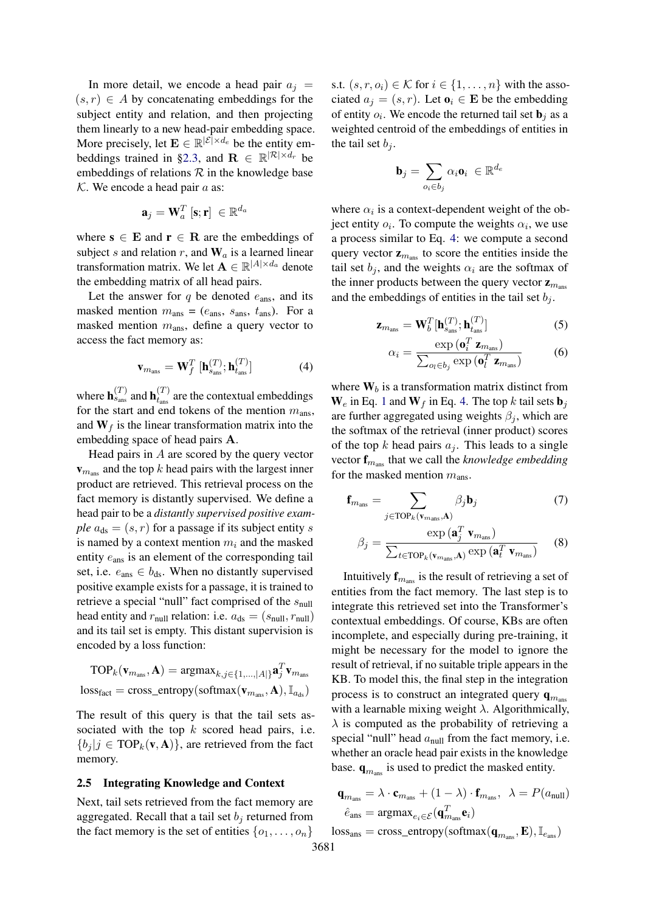In more detail, we encode a head pair  $a_i$  =  $(s, r) \in A$  by concatenating embeddings for the subject entity and relation, and then projecting them linearly to a new head-pair embedding space. More precisely, let  $\mathbf{E} \in \mathbb{R}^{|\mathcal{E}| \times d_e}$  be the entity em-beddings trained in [§2.3,](#page-2-1) and  $\mathbf{R} \in \mathbb{R}^{|\mathcal{R}| \times d_r}$  be embeddings of relations  $R$  in the knowledge base  $K$ . We encode a head pair  $a$  as:

$$
\mathbf{a}_j = \mathbf{W}_a^T [\mathbf{s}; \mathbf{r}] \ \in \mathbb{R}^{d_a}
$$

where  $s \in E$  and  $r \in R$  are the embeddings of subject s and relation r, and  $W_a$  is a learned linear transformation matrix. We let  $\mathbf{A} \in \mathbb{R}^{|A| \times d_a}$  denote the embedding matrix of all head pairs.

Let the answer for  $q$  be denoted  $e_{\text{ans}}$ , and its masked mention  $m_{\text{ans}} = (e_{\text{ans}}, s_{\text{ans}}, t_{\text{ans}})$ . For a masked mention  $m<sub>ans</sub>$ , define a query vector to access the fact memory as:

$$
\mathbf{v}_{m_{\text{ans}}} = \mathbf{W}_{f}^{T} [\mathbf{h}_{s_{\text{ans}}}^{(T)}; \mathbf{h}_{t_{\text{ans}}}^{(T)}]
$$
(4)

where  $\mathbf{h}_{s_{\text{ans}}}^{(T)}$  and  $\mathbf{h}_{t_{\text{ans}}}^{(T)}$  $t_{\text{ans}}^{(1)}$  are the contextual embeddings for the start and end tokens of the mention  $m<sub>ans</sub>$ , and  $W_f$  is the linear transformation matrix into the embedding space of head pairs A.

Head pairs in  $A$  are scored by the query vector  $v_{m_{\text{ans}}}$  and the top k head pairs with the largest inner product are retrieved. This retrieval process on the fact memory is distantly supervised. We define a head pair to be a *distantly supervised positive example*  $a_{ds} = (s, r)$  for a passage if its subject entity s is named by a context mention  $m_i$  and the masked entity eans is an element of the corresponding tail set, i.e.  $e_{\text{ans}} \in b_{\text{ds}}$ . When no distantly supervised positive example exists for a passage, it is trained to retrieve a special "null" fact comprised of the  $s<sub>null</sub>$ head entity and  $r_{\text{null}}$  relation: i.e.  $a_{\text{ds}} = (s_{\text{null}}, r_{\text{null}})$ and its tail set is empty. This distant supervision is encoded by a loss function:

$$
\text{TOP}_k(\mathbf{v}_{m_{\text{ans}}}, \mathbf{A}) = \text{argmax}_{k, j \in \{1, \ldots, |A|\}} \mathbf{a}_j^T \mathbf{v}_{m_{\text{ans}}}
$$
  
loss<sub>fact</sub> = cross\_entropy(softmax( $\mathbf{v}_{m_{\text{ans}}}, \mathbf{A}$ ),  $\mathbb{I}_{a_{\text{ds}}}$ )

The result of this query is that the tail sets associated with the top  $k$  scored head pairs, i.e.  ${b_i | j \in \text{TOP}_k(\mathbf{v}, \mathbf{A})}$ , are retrieved from the fact memory.

#### <span id="page-3-0"></span>2.5 Integrating Knowledge and Context

Next, tail sets retrieved from the fact memory are aggregated. Recall that a tail set  $b_i$  returned from the fact memory is the set of entities  $\{o_1, \ldots, o_n\}$ 

s.t.  $(s, r, o_i) \in \mathcal{K}$  for  $i \in \{1, \ldots, n\}$  with the associated  $a_j = (s, r)$ . Let  $\mathbf{o}_i \in \mathbf{E}$  be the embedding of entity  $o_i$ . We encode the returned tail set  $\mathbf{b}_j$  as a weighted centroid of the embeddings of entities in the tail set  $b_i$ .

$$
\mathbf{b}_j = \sum_{o_i \in b_j} \alpha_i \mathbf{o}_i \in \mathbb{R}^{d_e}
$$

where  $\alpha_i$  is a context-dependent weight of the object entity  $o_i$ . To compute the weights  $\alpha_i$ , we use a process similar to Eq. [4:](#page-3-1) we compute a second query vector  $z_{m_{\text{ans}}}$  to score the entities inside the tail set  $b_i$ , and the weights  $\alpha_i$  are the softmax of the inner products between the query vector  $z_{m_{\text{ans}}}$ and the embeddings of entities in the tail set  $b_i$ .

$$
\mathbf{z}_{m_{\text{ans}}} = \mathbf{W}_b^T [\mathbf{h}_{s_{\text{ans}}}^{(T)}; \mathbf{h}_{t_{\text{ans}}}^{(T)}]
$$
(5)

$$
\alpha_i = \frac{\exp\left(\mathbf{o}_i^T \mathbf{z}_{m_{\text{ans}}}\right)}{\sum_{o_l \in b_j} \exp\left(\mathbf{o}_l^T \mathbf{z}_{m_{\text{ans}}}\right)}\tag{6}
$$

<span id="page-3-1"></span>where  $W_b$  is a transformation matrix distinct from  $W_e$  in Eq. [1](#page-2-4) and  $W_f$  in Eq. [4.](#page-3-1) The top k tail sets  $b_i$ are further aggregated using weights  $\beta_i$ , which are the softmax of the retrieval (inner product) scores of the top k head pairs  $a_i$ . This leads to a single vector  $\mathbf{f}_{m_{\text{ans}}}$  that we call the *knowledge embedding* for the masked mention  $m_{\text{ans}}$ .

$$
\mathbf{f}_{m_{\text{ans}}} = \sum_{j \in \text{TOP}_k(\mathbf{v}_{m_{\text{ans}}}, \mathbf{A})} \beta_j \mathbf{b}_j \tag{7}
$$

$$
\beta_j = \frac{\exp(\mathbf{a}_j^T \mathbf{v}_{m_{\text{ans}}})}{\sum_{t \in \text{TOP}_k(\mathbf{v}_{m_{\text{ans}}}, \mathbf{A})} \exp(\mathbf{a}_t^T \mathbf{v}_{m_{\text{ans}}})}
$$
(8)

Intuitively  $f_{m_{\text{ans}}}$  is the result of retrieving a set of entities from the fact memory. The last step is to integrate this retrieved set into the Transformer's contextual embeddings. Of course, KBs are often incomplete, and especially during pre-training, it might be necessary for the model to ignore the result of retrieval, if no suitable triple appears in the KB. To model this, the final step in the integration process is to construct an integrated query  $q_{m}$ with a learnable mixing weight  $\lambda$ . Algorithmically,  $\lambda$  is computed as the probability of retrieving a special "null" head  $a<sub>null</sub>$  from the fact memory, i.e. whether an oracle head pair exists in the knowledge base.  $\mathbf{q}_{m_{\text{ans}}}$  is used to predict the masked entity.

$$
\mathbf{q}_{m_{\text{ans}}} = \lambda \cdot \mathbf{c}_{m_{\text{ans}}} + (1 - \lambda) \cdot \mathbf{f}_{m_{\text{ans}}}, \ \ \lambda = P(a_{\text{null}})
$$
\n
$$
\hat{e}_{\text{ans}} = \operatorname{argmax}_{e_i \in \mathcal{E}}(\mathbf{q}_{m_{\text{ans}}}^T \mathbf{e}_i)
$$
\n
$$
\text{loss}_{\text{ans}} = \text{cross\_entropy}(\text{softmax}(\mathbf{q}_{m_{\text{ans}}}, \mathbf{E}), \mathbb{I}_{e_{\text{ans}}})
$$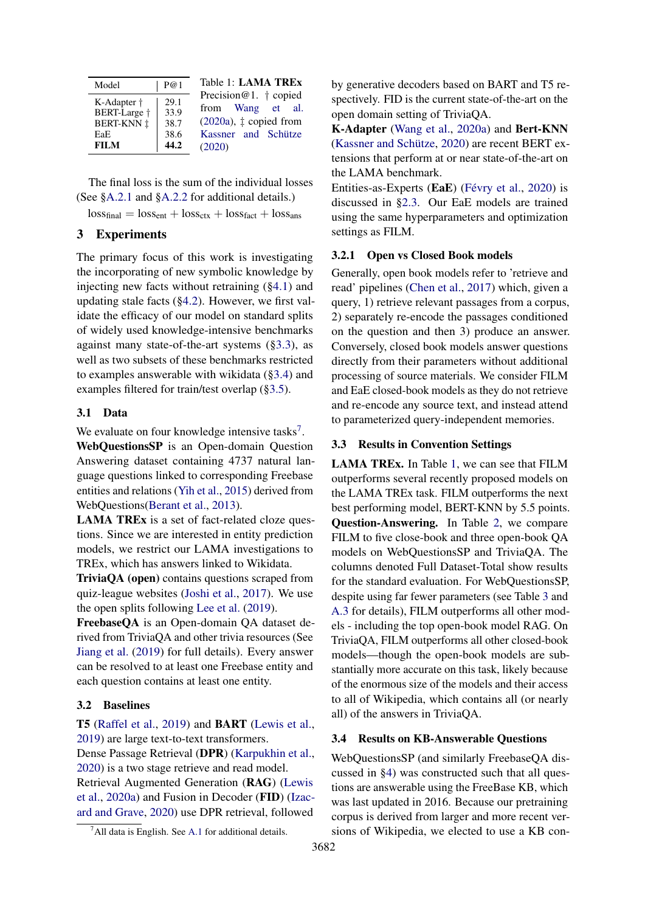<span id="page-4-3"></span>

| Model                                                                  | P@1                                  | Table 1: LAMA TREx<br>Precision@1. $\dagger$ copied                                     |
|------------------------------------------------------------------------|--------------------------------------|-----------------------------------------------------------------------------------------|
| K-Adapter †<br>BERT-Large +<br><b>BERT-KNN ‡</b><br>EaE<br><b>FILM</b> | 29.1<br>33.9<br>38.7<br>38.6<br>44.2 | from Wang et al.<br>$(2020a)$ , $\ddagger$ copied from<br>Kassner and Schütze<br>(2020) |

The final loss is the sum of the individual losses (See [§A.2.1](#page-12-1) and [§A.2.2](#page-12-0) for additional details.)

 $loss_{final} = loss_{ent} + loss_{ctx} + loss_{fact} + loss_{ans}$ 

# 3 Experiments

The primary focus of this work is investigating the incorporating of new symbolic knowledge by injecting new facts without retraining ([§4.1\)](#page-6-0) and updating stale facts ([§4.2\)](#page-7-0). However, we first validate the efficacy of our model on standard splits of widely used knowledge-intensive benchmarks against many state-of-the-art systems ([§3.3\)](#page-4-0), as well as two subsets of these benchmarks restricted to examples answerable with wikidata ([§3.4\)](#page-4-1) and examples filtered for train/test overlap ([§3.5\)](#page-5-0).

### 3.1 Data

We evaluate on four knowledge intensive tasks<sup>[7](#page-4-2)</sup>.

WebQuestionsSP is an Open-domain Question Answering dataset containing 4737 natural language questions linked to corresponding Freebase entities and relations [\(Yih et al.,](#page-11-5) [2015\)](#page-11-5) derived from WebQuestions[\(Berant et al.,](#page-9-7) [2013\)](#page-9-7).

LAMA TREx is a set of fact-related cloze questions. Since we are interested in entity prediction models, we restrict our LAMA investigations to TREx, which has answers linked to Wikidata.

TriviaQA (open) contains questions scraped from quiz-league websites [\(Joshi et al.,](#page-9-8) [2017\)](#page-9-8). We use the open splits following [Lee et al.](#page-10-7) [\(2019\)](#page-10-7).

FreebaseQA is an Open-domain QA dataset derived from TriviaQA and other trivia resources (See [Jiang et al.](#page-9-9) [\(2019\)](#page-9-9) for full details). Every answer can be resolved to at least one Freebase entity and each question contains at least one entity.

# 3.2 Baselines

T5 [\(Raffel et al.,](#page-10-1) [2019\)](#page-10-1) and BART [\(Lewis et al.,](#page-10-4) [2019\)](#page-10-4) are large text-to-text transformers.

Dense Passage Retrieval (DPR) [\(Karpukhin et al.,](#page-10-8) [2020\)](#page-10-8) is a two stage retrieve and read model. Retrieval Augmented Generation (RAG) [\(Lewis](#page-10-5) [et al.,](#page-10-5) [2020a\)](#page-10-5) and Fusion in Decoder (FID) [\(Izac](#page-9-10)[ard and Grave,](#page-9-10) [2020\)](#page-9-10) use DPR retrieval, followed

by generative decoders based on BART and T5 respectively. FID is the current state-of-the-art on the open domain setting of TriviaQA.

K-Adapter [\(Wang et al.,](#page-11-4) [2020a\)](#page-11-4) and Bert-KNN [\(Kassner and Schütze,](#page-10-6) [2020\)](#page-10-6) are recent BERT extensions that perform at or near state-of-the-art on the LAMA benchmark.

Entities-as-Experts (EaE) [\(Févry et al.,](#page-9-6) [2020\)](#page-9-6) is discussed in [§2.3.](#page-2-1) Our EaE models are trained using the same hyperparameters and optimization settings as FILM.

# 3.2.1 Open vs Closed Book models

Generally, open book models refer to 'retrieve and read' pipelines [\(Chen et al.,](#page-9-11) [2017\)](#page-9-11) which, given a query, 1) retrieve relevant passages from a corpus, 2) separately re-encode the passages conditioned on the question and then 3) produce an answer. Conversely, closed book models answer questions directly from their parameters without additional processing of source materials. We consider FILM and EaE closed-book models as they do not retrieve and re-encode any source text, and instead attend to parameterized query-independent memories.

# <span id="page-4-0"></span>3.3 Results in Convention Settings

LAMA TREx. In Table [1,](#page-4-3) we can see that FILM outperforms several recently proposed models on the LAMA TREx task. FILM outperforms the next best performing model, BERT-KNN by 5.5 points. Question-Answering. In Table [2,](#page-5-1) we compare FILM to five close-book and three open-book QA models on WebQuestionsSP and TriviaQA. The columns denoted Full Dataset-Total show results for the standard evaluation. For WebQuestionsSP, despite using far fewer parameters (see Table [3](#page-5-2) and [A.3](#page-13-0) for details), FILM outperforms all other models - including the top open-book model RAG. On TriviaQA, FILM outperforms all other closed-book models—though the open-book models are substantially more accurate on this task, likely because of the enormous size of the models and their access to all of Wikipedia, which contains all (or nearly all) of the answers in TriviaQA.

#### <span id="page-4-1"></span>3.4 Results on KB-Answerable Questions

WebQuestionsSP (and similarly FreebaseQA discussed in [§4\)](#page-6-1) was constructed such that all questions are answerable using the FreeBase KB, which was last updated in 2016. Because our pretraining corpus is derived from larger and more recent versions of Wikipedia, we elected to use a KB con-

<span id="page-4-2"></span> $^7$ All data is English. See [A.1](#page-12-2) for additional details.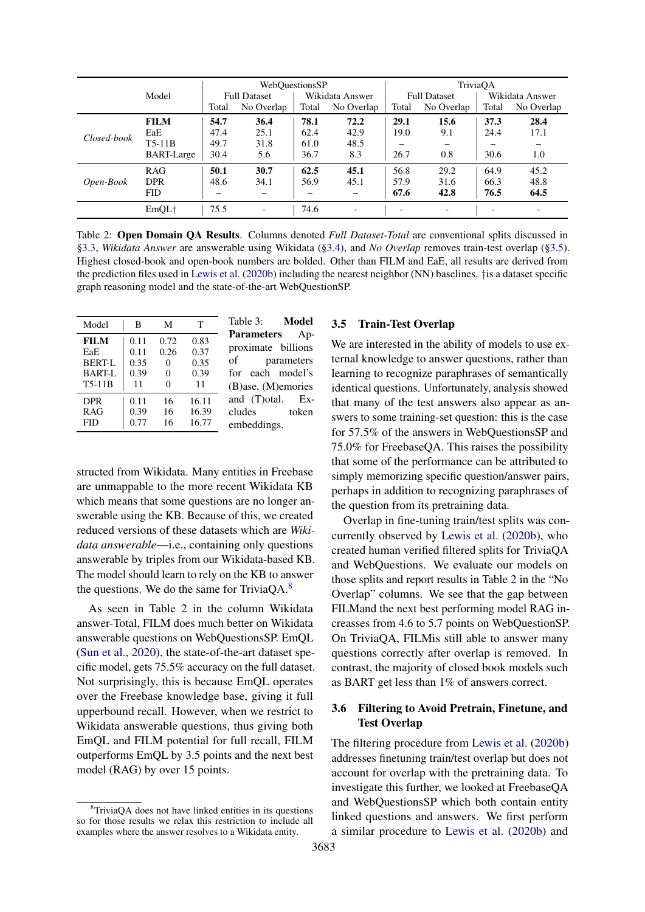<span id="page-5-1"></span>

|             |                   | WebQuestionsSP      |                          |                 |                          | TriviaOA                 |                          |                          |                          |
|-------------|-------------------|---------------------|--------------------------|-----------------|--------------------------|--------------------------|--------------------------|--------------------------|--------------------------|
| Model       |                   | <b>Full Dataset</b> |                          | Wikidata Answer |                          | <b>Full Dataset</b>      |                          | Wikidata Answer          |                          |
|             |                   | Total               | No Overlap               | Total           | No Overlap               | Total                    | No Overlap               | Total                    | No Overlap               |
|             | <b>FILM</b>       | 54.7                | 36.4                     | 78.1            | 72.2                     | 29.1                     | 15.6                     | 37.3                     | 28.4                     |
|             | EaE               | 47.4                | 25.1                     | 62.4            | 42.9                     | 19.0                     | 9.1                      | 24.4                     | 17.1                     |
| Closed-book | $T5-11B$          | 49.7                | 31.8                     | 61.0            | 48.5                     |                          | $\qquad \qquad$          |                          |                          |
|             | <b>BART-Large</b> | 30.4                | 5.6                      | 36.7            | 8.3                      | 26.7                     | 0.8                      | 30.6                     | 1.0                      |
|             | <b>RAG</b>        | 50.1                | 30.7                     | 62.5            | 45.1                     | 56.8                     | 29.2                     | 64.9                     | 45.2                     |
| Open-Book   | <b>DPR</b>        | 48.6                | 34.1                     | 56.9            | 45.1                     | 57.9                     | 31.6                     | 66.3                     | 48.8                     |
|             | <b>FID</b>        |                     |                          |                 |                          | 67.6                     | 42.8                     | 76.5                     | 64.5                     |
|             | EmOL <sub>†</sub> | 75.5                | $\overline{\phantom{a}}$ | 74.6            | $\overline{\phantom{a}}$ | $\overline{\phantom{0}}$ | $\overline{\phantom{a}}$ | $\overline{\phantom{0}}$ | $\overline{\phantom{a}}$ |

Table 2: Open Domain QA Results. Columns denoted *Full Dataset-Total* are conventional splits discussed in [§3.3,](#page-4-0) *Wikidata Answer* are answerable using Wikidata ([§3.4\)](#page-4-1), and *No Overlap* removes train-test overlap ([§3.5\)](#page-5-0). Highest closed-book and open-book numbers are bolded. Other than FILM and EaE, all results are derived from the prediction files used in [Lewis et al.](#page-10-9) [\(2020b\)](#page-10-9) including the nearest neighbor (NN) baselines. †is a dataset specific graph reasoning model and the state-of-the-art WebQuestionSP.

<span id="page-5-2"></span>

| Model       | B    | М    | т     |
|-------------|------|------|-------|
| <b>FILM</b> | 0.11 | 0.72 | 0.83  |
| EaE         | 0.11 | 0.26 | 0.37  |
| BERT-L      | 0.35 | 0    | 0.35  |
| BART-L      | 0.39 | 0    | 0.39  |
| T5-11B      | 11   | 0    | 11    |
| <b>DPR</b>  | 0.11 | 16   | 16.11 |
| RAG         | 0.39 | 16   | 16.39 |
| FID         | 0.77 | 16   | 16.77 |

Table 3: Model Parameters Approximate billions of parameters for each model's (B)ase, (M)emories and (T)otal. Excludes token embeddings.

structed from Wikidata. Many entities in Freebase are unmappable to the more recent Wikidata KB which means that some questions are no longer answerable using the KB. Because of this, we created reduced versions of these datasets which are *Wikidata answerable*—i.e., containing only questions answerable by triples from our Wikidata-based KB. The model should learn to rely on the KB to answer the questions. We do the same for Trivia $OA^8$  $OA^8$ 

As seen in Table [2](#page-5-1) in the column Wikidata answer-Total, FILM does much better on Wikidata answerable questions on WebQuestionsSP. EmQL [\(Sun et al.,](#page-11-6) [2020\)](#page-11-6), the state-of-the-art dataset specific model, gets 75.5% accuracy on the full dataset. Not surprisingly, this is because EmQL operates over the Freebase knowledge base, giving it full upperbound recall. However, when we restrict to Wikidata answerable questions, thus giving both EmQL and FILM potential for full recall, FILM outperforms EmQL by 3.5 points and the next best model (RAG) by over 15 points.

### <span id="page-5-0"></span>3.5 Train-Test Overlap

We are interested in the ability of models to use external knowledge to answer questions, rather than learning to recognize paraphrases of semantically identical questions. Unfortunately, analysis showed that many of the test answers also appear as answers to some training-set question: this is the case for 57.5% of the answers in WebQuestionsSP and 75.0% for FreebaseQA. This raises the possibility that some of the performance can be attributed to simply memorizing specific question/answer pairs, perhaps in addition to recognizing paraphrases of the question from its pretraining data.

Overlap in fine-tuning train/test splits was concurrently observed by [Lewis et al.](#page-10-9) [\(2020b\)](#page-10-9), who created human verified filtered splits for TriviaQA and WebQuestions. We evaluate our models on those splits and report results in Table [2](#page-5-1) in the "No Overlap" columns. We see that the gap between FILMand the next best performing model RAG increasses from 4.6 to 5.7 points on WebQuestionSP. On TriviaQA, FILMis still able to answer many questions correctly after overlap is removed. In contrast, the majority of closed book models such as BART get less than 1% of answers correct.

# 3.6 Filtering to Avoid Pretrain, Finetune, and Test Overlap

The filtering procedure from [Lewis et al.](#page-10-9) [\(2020b\)](#page-10-9) addresses finetuning train/test overlap but does not account for overlap with the pretraining data. To investigate this further, we looked at FreebaseQA and WebQuestionsSP which both contain entity linked questions and answers. We first perform a similar procedure to [Lewis et al.](#page-10-9) [\(2020b\)](#page-10-9) and

<span id="page-5-3"></span><sup>8</sup>TriviaQA does not have linked entities in its questions so for those results we relax this restriction to include all examples where the answer resolves to a Wikidata entity.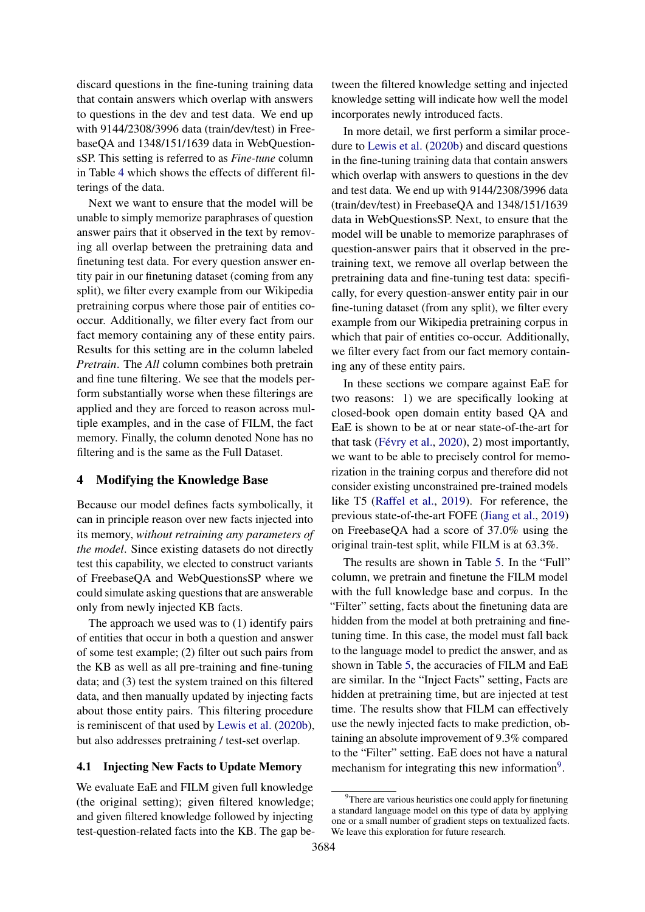discard questions in the fine-tuning training data that contain answers which overlap with answers to questions in the dev and test data. We end up with 9144/2308/3996 data (train/dev/test) in FreebaseQA and 1348/151/1639 data in WebQuestionsSP. This setting is referred to as *Fine-tune* column in Table [4](#page-7-1) which shows the effects of different filterings of the data.

Next we want to ensure that the model will be unable to simply memorize paraphrases of question answer pairs that it observed in the text by removing all overlap between the pretraining data and finetuning test data. For every question answer entity pair in our finetuning dataset (coming from any split), we filter every example from our Wikipedia pretraining corpus where those pair of entities cooccur. Additionally, we filter every fact from our fact memory containing any of these entity pairs. Results for this setting are in the column labeled *Pretrain*. The *All* column combines both pretrain and fine tune filtering. We see that the models perform substantially worse when these filterings are applied and they are forced to reason across multiple examples, and in the case of FILM, the fact memory. Finally, the column denoted None has no filtering and is the same as the Full Dataset.

# <span id="page-6-1"></span>4 Modifying the Knowledge Base

Because our model defines facts symbolically, it can in principle reason over new facts injected into its memory, *without retraining any parameters of the model*. Since existing datasets do not directly test this capability, we elected to construct variants of FreebaseQA and WebQuestionsSP where we could simulate asking questions that are answerable only from newly injected KB facts.

The approach we used was to (1) identify pairs of entities that occur in both a question and answer of some test example; (2) filter out such pairs from the KB as well as all pre-training and fine-tuning data; and (3) test the system trained on this filtered data, and then manually updated by injecting facts about those entity pairs. This filtering procedure is reminiscent of that used by [Lewis et al.](#page-10-9) [\(2020b\)](#page-10-9), but also addresses pretraining / test-set overlap.

#### <span id="page-6-0"></span>4.1 Injecting New Facts to Update Memory

We evaluate EaE and FILM given full knowledge (the original setting); given filtered knowledge; and given filtered knowledge followed by injecting test-question-related facts into the KB. The gap between the filtered knowledge setting and injected knowledge setting will indicate how well the model incorporates newly introduced facts.

In more detail, we first perform a similar procedure to [Lewis et al.](#page-10-9) [\(2020b\)](#page-10-9) and discard questions in the fine-tuning training data that contain answers which overlap with answers to questions in the dev and test data. We end up with 9144/2308/3996 data (train/dev/test) in FreebaseQA and 1348/151/1639 data in WebQuestionsSP. Next, to ensure that the model will be unable to memorize paraphrases of question-answer pairs that it observed in the pretraining text, we remove all overlap between the pretraining data and fine-tuning test data: specifically, for every question-answer entity pair in our fine-tuning dataset (from any split), we filter every example from our Wikipedia pretraining corpus in which that pair of entities co-occur. Additionally, we filter every fact from our fact memory containing any of these entity pairs.

In these sections we compare against EaE for two reasons: 1) we are specifically looking at closed-book open domain entity based QA and EaE is shown to be at or near state-of-the-art for that task [\(Févry et al.,](#page-9-6) [2020\)](#page-9-6), 2) most importantly, we want to be able to precisely control for memorization in the training corpus and therefore did not consider existing unconstrained pre-trained models like T5 [\(Raffel et al.,](#page-10-1) [2019\)](#page-10-1). For reference, the previous state-of-the-art FOFE [\(Jiang et al.,](#page-9-9) [2019\)](#page-9-9) on FreebaseQA had a score of 37.0% using the original train-test split, while FILM is at 63.3%.

The results are shown in Table [5.](#page-7-2) In the "Full" column, we pretrain and finetune the FILM model with the full knowledge base and corpus. In the "Filter" setting, facts about the finetuning data are hidden from the model at both pretraining and finetuning time. In this case, the model must fall back to the language model to predict the answer, and as shown in Table [5,](#page-7-2) the accuracies of FILM and EaE are similar. In the "Inject Facts" setting, Facts are hidden at pretraining time, but are injected at test time. The results show that FILM can effectively use the newly injected facts to make prediction, obtaining an absolute improvement of 9.3% compared to the "Filter" setting. EaE does not have a natural mechanism for integrating this new information<sup>[9](#page-6-2)</sup>.

<span id="page-6-2"></span><sup>&</sup>lt;sup>9</sup>There are various heuristics one could apply for finetuning a standard language model on this type of data by applying one or a small number of gradient steps on textualized facts. We leave this exploration for future research.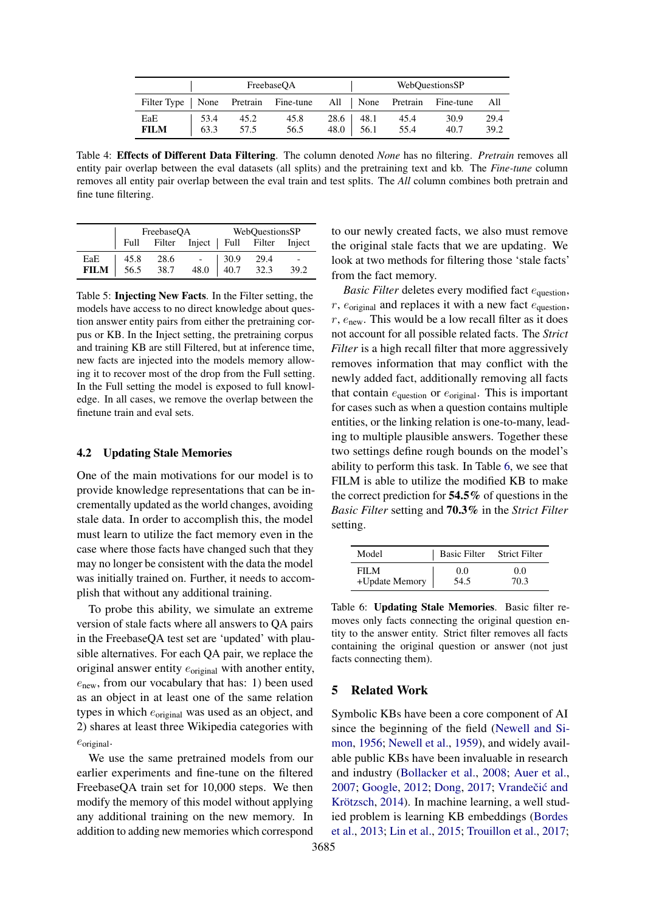<span id="page-7-1"></span>

|                                                                     | FreebaseOA   |              |              | WebQuestionsSP |                       |              |              |              |  |
|---------------------------------------------------------------------|--------------|--------------|--------------|----------------|-----------------------|--------------|--------------|--------------|--|
| Filter Type   None Pretrain Fine-tune All   None Pretrain Fine-tune |              |              |              |                |                       |              |              | – All        |  |
| EaE<br><b>FILM</b>                                                  | 53.4<br>63.3 | 45.2<br>57.5 | 45.8<br>56.5 | 48.0           | $28.6$   48.1<br>56.1 | 45.4<br>55.4 | 30.9<br>40.7 | 29.4<br>39.2 |  |

Table 4: Effects of Different Data Filtering. The column denoted *None* has no filtering. *Pretrain* removes all entity pair overlap between the eval datasets (all splits) and the pretraining text and kb. The *Fine-tune* column removes all entity pair overlap between the eval train and test splits. The *All* column combines both pretrain and fine tune filtering.

<span id="page-7-2"></span>

|             |                  |                                             | FreebaseQA WebQuestionsSP |  |      |
|-------------|------------------|---------------------------------------------|---------------------------|--|------|
|             |                  | Full Filter Inject   Full Filter Inject     |                           |  |      |
| EaE         | 45.8             |                                             |                           |  |      |
| <b>FILM</b> | $\frac{56.5}{2}$ | $28.6$ - $30.9$ 29.4<br>38.7 48.0 40.7 32.3 |                           |  | 39.2 |

Table 5: Injecting New Facts. In the Filter setting, the models have access to no direct knowledge about question answer entity pairs from either the pretraining corpus or KB. In the Inject setting, the pretraining corpus and training KB are still Filtered, but at inference time, new facts are injected into the models memory allowing it to recover most of the drop from the Full setting. In the Full setting the model is exposed to full knowledge. In all cases, we remove the overlap between the finetune train and eval sets.

#### <span id="page-7-0"></span>4.2 Updating Stale Memories

One of the main motivations for our model is to provide knowledge representations that can be incrementally updated as the world changes, avoiding stale data. In order to accomplish this, the model must learn to utilize the fact memory even in the case where those facts have changed such that they may no longer be consistent with the data the model was initially trained on. Further, it needs to accomplish that without any additional training.

To probe this ability, we simulate an extreme version of stale facts where all answers to QA pairs in the FreebaseQA test set are 'updated' with plausible alternatives. For each QA pair, we replace the original answer entity  $e_{original}$  with another entity,  $e<sub>new</sub>$ , from our vocabulary that has: 1) been used as an object in at least one of the same relation types in which  $e_{original}$  was used as an object, and 2) shares at least three Wikipedia categories with  $e_{original}$ .

We use the same pretrained models from our earlier experiments and fine-tune on the filtered FreebaseQA train set for 10,000 steps. We then modify the memory of this model without applying any additional training on the new memory. In addition to adding new memories which correspond to our newly created facts, we also must remove the original stale facts that we are updating. We look at two methods for filtering those 'stale facts' from the fact memory.

*Basic Filter* deletes every modified fact  $e<sub>question</sub>$ , r,  $e_{\text{original}}$  and replaces it with a new fact  $e_{\text{question}}$ ,  $r$ ,  $e_{\text{new}}$ . This would be a low recall filter as it does not account for all possible related facts. The *Strict Filter* is a high recall filter that more aggressively removes information that may conflict with the newly added fact, additionally removing all facts that contain  $e_{\text{question}}$  or  $e_{\text{original}}$ . This is important for cases such as when a question contains multiple entities, or the linking relation is one-to-many, leading to multiple plausible answers. Together these two settings define rough bounds on the model's ability to perform this task. In Table [6,](#page-7-3) we see that FILM is able to utilize the modified KB to make the correct prediction for 54.5% of questions in the *Basic Filter* setting and 70.3% in the *Strict Filter* setting.

<span id="page-7-3"></span>

| Model          | <b>Basic Filter</b> | <b>Strict Filter</b> |
|----------------|---------------------|----------------------|
| FILM.          | 0.0                 | 0.0                  |
| +Update Memory | 54.5                | 70.3                 |

Table 6: Updating Stale Memories. Basic filter removes only facts connecting the original question entity to the answer entity. Strict filter removes all facts containing the original question or answer (not just facts connecting them).

#### 5 Related Work

Symbolic KBs have been a core component of AI since the beginning of the field [\(Newell and Si](#page-10-10)[mon,](#page-10-10) [1956;](#page-10-10) [Newell et al.,](#page-10-11) [1959\)](#page-10-11), and widely available public KBs have been invaluable in research and industry [\(Bollacker et al.,](#page-9-4) [2008;](#page-9-4) [Auer et al.,](#page-9-5) [2007;](#page-9-5) [Google,](#page-9-2) [2012;](#page-9-2) [Dong,](#page-9-3) [2017;](#page-9-3) Vrandečić and [Krötzsch,](#page-11-2) [2014\)](#page-11-2). In machine learning, a well studied problem is learning KB embeddings [\(Bordes](#page-9-12) [et al.,](#page-9-12) [2013;](#page-9-12) [Lin et al.,](#page-10-12) [2015;](#page-10-12) [Trouillon et al.,](#page-11-7) [2017;](#page-11-7)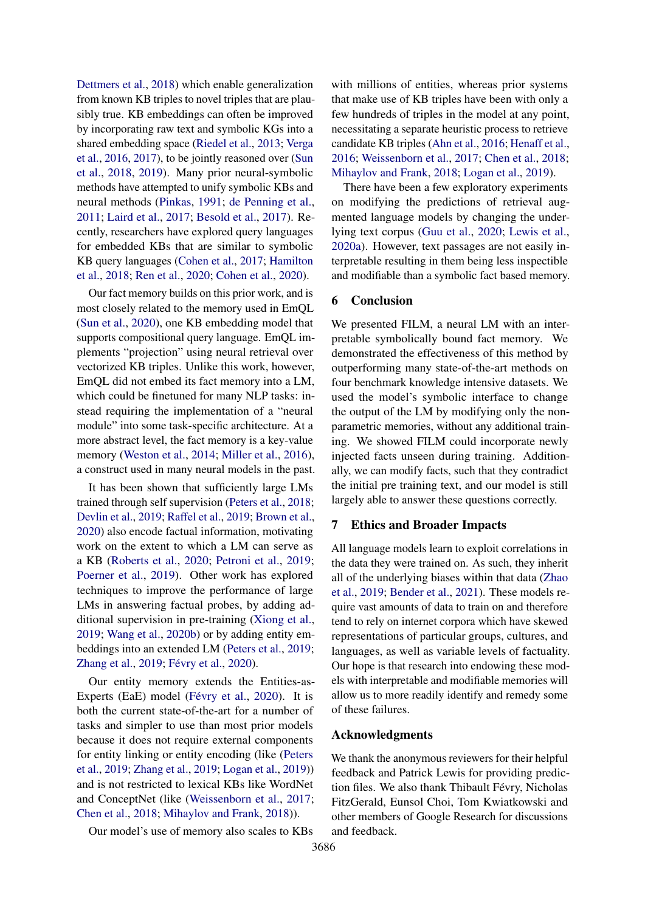[Dettmers et al.,](#page-9-13) [2018\)](#page-9-13) which enable generalization from known KB triples to novel triples that are plausibly true. KB embeddings can often be improved by incorporating raw text and symbolic KGs into a shared embedding space [\(Riedel et al.,](#page-11-8) [2013;](#page-11-8) [Verga](#page-11-9) [et al.,](#page-11-9) [2016,](#page-11-9) [2017\)](#page-11-10), to be jointly reasoned over [\(Sun](#page-11-11) [et al.,](#page-11-11) [2018,](#page-11-11) [2019\)](#page-11-12). Many prior neural-symbolic methods have attempted to unify symbolic KBs and neural methods [\(Pinkas,](#page-10-13) [1991;](#page-10-13) [de Penning et al.,](#page-10-14) [2011;](#page-10-14) [Laird et al.,](#page-10-15) [2017;](#page-10-15) [Besold et al.,](#page-9-14) [2017\)](#page-9-14). Recently, researchers have explored query languages for embedded KBs that are similar to symbolic KB query languages [\(Cohen et al.,](#page-9-15) [2017;](#page-9-15) [Hamilton](#page-9-16) [et al.,](#page-9-16) [2018;](#page-9-16) [Ren et al.,](#page-11-13) [2020;](#page-11-13) [Cohen et al.,](#page-9-17) [2020\)](#page-9-17).

Our fact memory builds on this prior work, and is most closely related to the memory used in EmQL [\(Sun et al.,](#page-11-6) [2020\)](#page-11-6), one KB embedding model that supports compositional query language. EmQL implements "projection" using neural retrieval over vectorized KB triples. Unlike this work, however, EmQL did not embed its fact memory into a LM, which could be finetuned for many NLP tasks: instead requiring the implementation of a "neural module" into some task-specific architecture. At a more abstract level, the fact memory is a key-value memory [\(Weston et al.,](#page-11-14) [2014;](#page-11-14) [Miller et al.,](#page-10-16) [2016\)](#page-10-16), a construct used in many neural models in the past.

It has been shown that sufficiently large LMs trained through self supervision [\(Peters et al.,](#page-10-0) [2018;](#page-10-0) [Devlin et al.,](#page-9-0) [2019;](#page-9-0) [Raffel et al.,](#page-10-1) [2019;](#page-10-1) [Brown et al.,](#page-9-1) [2020\)](#page-9-1) also encode factual information, motivating work on the extent to which a LM can serve as a KB [\(Roberts et al.,](#page-11-1) [2020;](#page-11-1) [Petroni et al.,](#page-10-2) [2019;](#page-10-2) [Poerner et al.,](#page-10-3) [2019\)](#page-10-3). Other work has explored techniques to improve the performance of large LMs in answering factual probes, by adding additional supervision in pre-training [\(Xiong et al.,](#page-11-15) [2019;](#page-11-15) [Wang et al.,](#page-11-16) [2020b\)](#page-11-16) or by adding entity embeddings into an extended LM [\(Peters et al.,](#page-10-17) [2019;](#page-10-17) [Zhang et al.,](#page-11-17) [2019;](#page-11-17) [Févry et al.,](#page-9-6) [2020\)](#page-9-6).

Our entity memory extends the Entities-as-Experts (EaE) model [\(Févry et al.,](#page-9-6) [2020\)](#page-9-6). It is both the current state-of-the-art for a number of tasks and simpler to use than most prior models because it does not require external components for entity linking or entity encoding (like [\(Peters](#page-10-17) [et al.,](#page-10-17) [2019;](#page-10-17) [Zhang et al.,](#page-11-17) [2019;](#page-11-17) [Logan et al.,](#page-10-18) [2019\)](#page-10-18)) and is not restricted to lexical KBs like WordNet and ConceptNet (like [\(Weissenborn et al.,](#page-11-18) [2017;](#page-11-18) [Chen et al.,](#page-9-18) [2018;](#page-9-18) [Mihaylov and Frank,](#page-10-19) [2018\)](#page-10-19)).

Our model's use of memory also scales to KBs

with millions of entities, whereas prior systems that make use of KB triples have been with only a few hundreds of triples in the model at any point, necessitating a separate heuristic process to retrieve candidate KB triples [\(Ahn et al.,](#page-9-19) [2016;](#page-9-19) [Henaff et al.,](#page-9-20) [2016;](#page-9-20) [Weissenborn et al.,](#page-11-18) [2017;](#page-11-18) [Chen et al.,](#page-9-18) [2018;](#page-9-18) [Mihaylov and Frank,](#page-10-19) [2018;](#page-10-19) [Logan et al.,](#page-10-18) [2019\)](#page-10-18).

There have been a few exploratory experiments on modifying the predictions of retrieval augmented language models by changing the underlying text corpus [\(Guu et al.,](#page-9-21) [2020;](#page-9-21) [Lewis et al.,](#page-10-5) [2020a\)](#page-10-5). However, text passages are not easily interpretable resulting in them being less inspectible and modifiable than a symbolic fact based memory.

# 6 Conclusion

We presented FILM, a neural LM with an interpretable symbolically bound fact memory. We demonstrated the effectiveness of this method by outperforming many state-of-the-art methods on four benchmark knowledge intensive datasets. We used the model's symbolic interface to change the output of the LM by modifying only the nonparametric memories, without any additional training. We showed FILM could incorporate newly injected facts unseen during training. Additionally, we can modify facts, such that they contradict the initial pre training text, and our model is still largely able to answer these questions correctly.

### 7 Ethics and Broader Impacts

All language models learn to exploit correlations in the data they were trained on. As such, they inherit all of the underlying biases within that data [\(Zhao](#page-11-19) [et al.,](#page-11-19) [2019;](#page-11-19) [Bender et al.,](#page-9-22) [2021\)](#page-9-22). These models require vast amounts of data to train on and therefore tend to rely on internet corpora which have skewed representations of particular groups, cultures, and languages, as well as variable levels of factuality. Our hope is that research into endowing these models with interpretable and modifiable memories will allow us to more readily identify and remedy some of these failures.

#### Acknowledgments

We thank the anonymous reviewers for their helpful feedback and Patrick Lewis for providing prediction files. We also thank Thibault Févry, Nicholas FitzGerald, Eunsol Choi, Tom Kwiatkowski and other members of Google Research for discussions and feedback.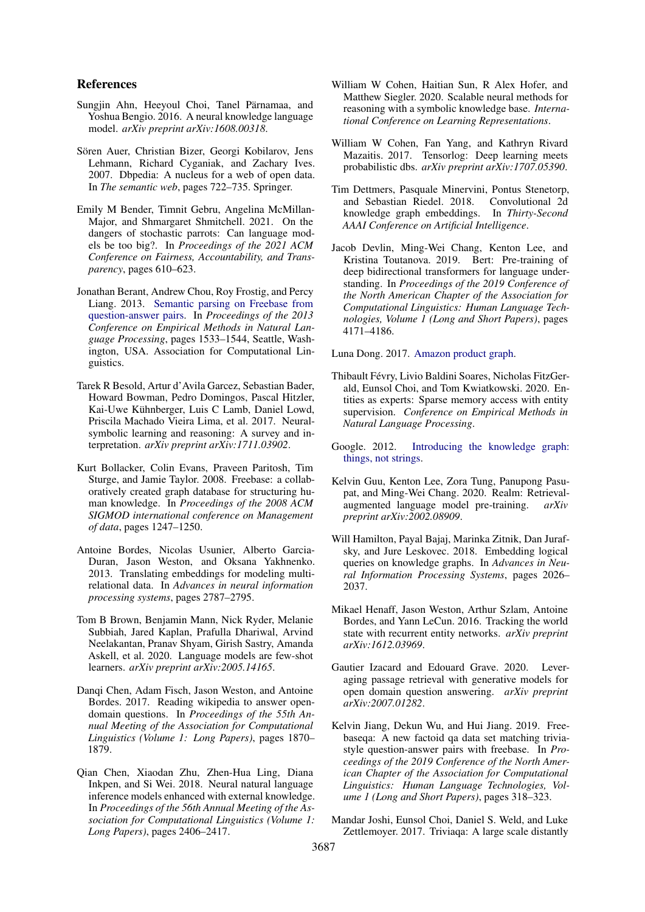#### References

- <span id="page-9-19"></span>Sungjin Ahn, Heeyoul Choi, Tanel Pärnamaa, and Yoshua Bengio. 2016. A neural knowledge language model. *arXiv preprint arXiv:1608.00318*.
- <span id="page-9-5"></span>Sören Auer, Christian Bizer, Georgi Kobilarov, Jens Lehmann, Richard Cyganiak, and Zachary Ives. 2007. Dbpedia: A nucleus for a web of open data. In *The semantic web*, pages 722–735. Springer.
- <span id="page-9-22"></span>Emily M Bender, Timnit Gebru, Angelina McMillan-Major, and Shmargaret Shmitchell. 2021. On the dangers of stochastic parrots: Can language models be too big?. In *Proceedings of the 2021 ACM Conference on Fairness, Accountability, and Transparency*, pages 610–623.
- <span id="page-9-7"></span>Jonathan Berant, Andrew Chou, Roy Frostig, and Percy Liang. 2013. [Semantic parsing on Freebase from](https://www.aclweb.org/anthology/D13-1160) [question-answer pairs.](https://www.aclweb.org/anthology/D13-1160) In *Proceedings of the 2013 Conference on Empirical Methods in Natural Language Processing*, pages 1533–1544, Seattle, Washington, USA. Association for Computational Linguistics.
- <span id="page-9-14"></span>Tarek R Besold, Artur d'Avila Garcez, Sebastian Bader, Howard Bowman, Pedro Domingos, Pascal Hitzler, Kai-Uwe Kühnberger, Luis C Lamb, Daniel Lowd, Priscila Machado Vieira Lima, et al. 2017. Neuralsymbolic learning and reasoning: A survey and interpretation. *arXiv preprint arXiv:1711.03902*.
- <span id="page-9-4"></span>Kurt Bollacker, Colin Evans, Praveen Paritosh, Tim Sturge, and Jamie Taylor. 2008. Freebase: a collaboratively created graph database for structuring human knowledge. In *Proceedings of the 2008 ACM SIGMOD international conference on Management of data*, pages 1247–1250.
- <span id="page-9-12"></span>Antoine Bordes, Nicolas Usunier, Alberto Garcia-Duran, Jason Weston, and Oksana Yakhnenko. 2013. Translating embeddings for modeling multirelational data. In *Advances in neural information processing systems*, pages 2787–2795.
- <span id="page-9-1"></span>Tom B Brown, Benjamin Mann, Nick Ryder, Melanie Subbiah, Jared Kaplan, Prafulla Dhariwal, Arvind Neelakantan, Pranav Shyam, Girish Sastry, Amanda Askell, et al. 2020. Language models are few-shot learners. *arXiv preprint arXiv:2005.14165*.
- <span id="page-9-11"></span>Danqi Chen, Adam Fisch, Jason Weston, and Antoine Bordes. 2017. Reading wikipedia to answer opendomain questions. In *Proceedings of the 55th Annual Meeting of the Association for Computational Linguistics (Volume 1: Long Papers)*, pages 1870– 1879.
- <span id="page-9-18"></span>Qian Chen, Xiaodan Zhu, Zhen-Hua Ling, Diana Inkpen, and Si Wei. 2018. Neural natural language inference models enhanced with external knowledge. In *Proceedings of the 56th Annual Meeting of the Association for Computational Linguistics (Volume 1: Long Papers)*, pages 2406–2417.
- <span id="page-9-17"></span>William W Cohen, Haitian Sun, R Alex Hofer, and Matthew Siegler. 2020. Scalable neural methods for reasoning with a symbolic knowledge base. *International Conference on Learning Representations*.
- <span id="page-9-15"></span>William W Cohen, Fan Yang, and Kathryn Rivard Mazaitis. 2017. Tensorlog: Deep learning meets probabilistic dbs. *arXiv preprint arXiv:1707.05390*.
- <span id="page-9-13"></span>Tim Dettmers, Pasquale Minervini, Pontus Stenetorp, and Sebastian Riedel. 2018. Convolutional 2d knowledge graph embeddings. In *Thirty-Second AAAI Conference on Artificial Intelligence*.
- <span id="page-9-0"></span>Jacob Devlin, Ming-Wei Chang, Kenton Lee, and Kristina Toutanova. 2019. Bert: Pre-training of deep bidirectional transformers for language understanding. In *Proceedings of the 2019 Conference of the North American Chapter of the Association for Computational Linguistics: Human Language Technologies, Volume 1 (Long and Short Papers)*, pages 4171–4186.

<span id="page-9-3"></span>Luna Dong. 2017. [Amazon product graph.](http://lunadong.com/talks/PG.pdf)

- <span id="page-9-6"></span>Thibault Févry, Livio Baldini Soares, Nicholas FitzGerald, Eunsol Choi, and Tom Kwiatkowski. 2020. Entities as experts: Sparse memory access with entity supervision. *Conference on Empirical Methods in Natural Language Processing*.
- <span id="page-9-2"></span>Google. 2012. [Introducing the knowledge graph:](https://googleblog.blogspot.com/2012/05/introducing-knowledge-graph-things-not.html) [things, not strings.](https://googleblog.blogspot.com/2012/05/introducing-knowledge-graph-things-not.html)
- <span id="page-9-21"></span>Kelvin Guu, Kenton Lee, Zora Tung, Panupong Pasupat, and Ming-Wei Chang. 2020. Realm: Retrievalaugmented language model pre-training. *arXiv preprint arXiv:2002.08909*.
- <span id="page-9-16"></span>Will Hamilton, Payal Bajaj, Marinka Zitnik, Dan Jurafsky, and Jure Leskovec. 2018. Embedding logical queries on knowledge graphs. In *Advances in Neural Information Processing Systems*, pages 2026– 2037.
- <span id="page-9-20"></span>Mikael Henaff, Jason Weston, Arthur Szlam, Antoine Bordes, and Yann LeCun. 2016. Tracking the world state with recurrent entity networks. *arXiv preprint arXiv:1612.03969*.
- <span id="page-9-10"></span>Gautier Izacard and Edouard Grave. 2020. Leveraging passage retrieval with generative models for open domain question answering. *arXiv preprint arXiv:2007.01282*.
- <span id="page-9-9"></span>Kelvin Jiang, Dekun Wu, and Hui Jiang. 2019. Freebaseqa: A new factoid qa data set matching triviastyle question-answer pairs with freebase. In *Proceedings of the 2019 Conference of the North American Chapter of the Association for Computational Linguistics: Human Language Technologies, Volume 1 (Long and Short Papers)*, pages 318–323.
- <span id="page-9-8"></span>Mandar Joshi, Eunsol Choi, Daniel S. Weld, and Luke Zettlemoyer. 2017. Triviaqa: A large scale distantly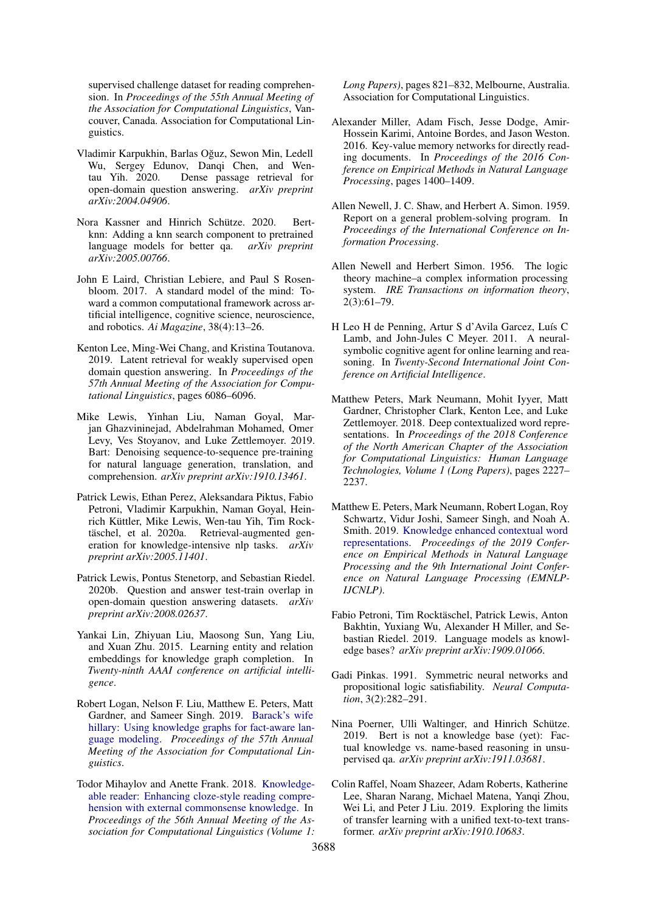supervised challenge dataset for reading comprehension. In *Proceedings of the 55th Annual Meeting of the Association for Computational Linguistics*, Vancouver, Canada. Association for Computational Linguistics.

- <span id="page-10-8"></span>Vladimir Karpukhin, Barlas Oguz, Sewon Min, Ledell ˘ Wu, Sergey Edunov, Danqi Chen, and Wentau Yih. 2020. Dense passage retrieval for open-domain question answering. *arXiv preprint arXiv:2004.04906*.
- <span id="page-10-6"></span>Nora Kassner and Hinrich Schütze. 2020. Bertknn: Adding a knn search component to pretrained language models for better qa. *arXiv preprint arXiv:2005.00766*.
- <span id="page-10-15"></span>John E Laird, Christian Lebiere, and Paul S Rosenbloom. 2017. A standard model of the mind: Toward a common computational framework across artificial intelligence, cognitive science, neuroscience, and robotics. *Ai Magazine*, 38(4):13–26.
- <span id="page-10-7"></span>Kenton Lee, Ming-Wei Chang, and Kristina Toutanova. 2019. Latent retrieval for weakly supervised open domain question answering. In *Proceedings of the 57th Annual Meeting of the Association for Computational Linguistics*, pages 6086–6096.
- <span id="page-10-4"></span>Mike Lewis, Yinhan Liu, Naman Goyal, Marjan Ghazvininejad, Abdelrahman Mohamed, Omer Levy, Ves Stoyanov, and Luke Zettlemoyer. 2019. Bart: Denoising sequence-to-sequence pre-training for natural language generation, translation, and comprehension. *arXiv preprint arXiv:1910.13461*.
- <span id="page-10-5"></span>Patrick Lewis, Ethan Perez, Aleksandara Piktus, Fabio Petroni, Vladimir Karpukhin, Naman Goyal, Heinrich Küttler, Mike Lewis, Wen-tau Yih, Tim Rocktäschel, et al. 2020a. Retrieval-augmented generation for knowledge-intensive nlp tasks. *arXiv preprint arXiv:2005.11401*.
- <span id="page-10-9"></span>Patrick Lewis, Pontus Stenetorp, and Sebastian Riedel. 2020b. Question and answer test-train overlap in open-domain question answering datasets. *arXiv preprint arXiv:2008.02637*.
- <span id="page-10-12"></span>Yankai Lin, Zhiyuan Liu, Maosong Sun, Yang Liu, and Xuan Zhu. 2015. Learning entity and relation embeddings for knowledge graph completion. In *Twenty-ninth AAAI conference on artificial intelligence*.
- <span id="page-10-18"></span>Robert Logan, Nelson F. Liu, Matthew E. Peters, Matt Gardner, and Sameer Singh. 2019. [Barack's wife](https://doi.org/10.18653/v1/p19-1598) [hillary: Using knowledge graphs for fact-aware lan](https://doi.org/10.18653/v1/p19-1598)[guage modeling.](https://doi.org/10.18653/v1/p19-1598) *Proceedings of the 57th Annual Meeting of the Association for Computational Linguistics*.
- <span id="page-10-19"></span>Todor Mihaylov and Anette Frank. 2018. [Knowledge](https://doi.org/10.18653/v1/P18-1076)[able reader: Enhancing cloze-style reading compre](https://doi.org/10.18653/v1/P18-1076)[hension with external commonsense knowledge.](https://doi.org/10.18653/v1/P18-1076) In *Proceedings of the 56th Annual Meeting of the Association for Computational Linguistics (Volume 1:*

*Long Papers)*, pages 821–832, Melbourne, Australia. Association for Computational Linguistics.

- <span id="page-10-16"></span>Alexander Miller, Adam Fisch, Jesse Dodge, Amir-Hossein Karimi, Antoine Bordes, and Jason Weston. 2016. Key-value memory networks for directly reading documents. In *Proceedings of the 2016 Conference on Empirical Methods in Natural Language Processing*, pages 1400–1409.
- <span id="page-10-11"></span>Allen Newell, J. C. Shaw, and Herbert A. Simon. 1959. Report on a general problem-solving program. In *Proceedings of the International Conference on Information Processing*.
- <span id="page-10-10"></span>Allen Newell and Herbert Simon. 1956. The logic theory machine–a complex information processing system. *IRE Transactions on information theory*,  $2(3):61-79.$
- <span id="page-10-14"></span>H Leo H de Penning, Artur S d'Avila Garcez, Luís C Lamb, and John-Jules C Meyer. 2011. A neuralsymbolic cognitive agent for online learning and reasoning. In *Twenty-Second International Joint Conference on Artificial Intelligence*.
- <span id="page-10-0"></span>Matthew Peters, Mark Neumann, Mohit Iyyer, Matt Gardner, Christopher Clark, Kenton Lee, and Luke Zettlemoyer. 2018. Deep contextualized word representations. In *Proceedings of the 2018 Conference of the North American Chapter of the Association for Computational Linguistics: Human Language Technologies, Volume 1 (Long Papers)*, pages 2227– 2237.
- <span id="page-10-17"></span>Matthew E. Peters, Mark Neumann, Robert Logan, Roy Schwartz, Vidur Joshi, Sameer Singh, and Noah A. Smith. 2019. [Knowledge enhanced contextual word](https://doi.org/10.18653/v1/d19-1005) [representations.](https://doi.org/10.18653/v1/d19-1005) *Proceedings of the 2019 Conference on Empirical Methods in Natural Language Processing and the 9th International Joint Conference on Natural Language Processing (EMNLP-IJCNLP)*.
- <span id="page-10-2"></span>Fabio Petroni, Tim Rocktäschel, Patrick Lewis, Anton Bakhtin, Yuxiang Wu, Alexander H Miller, and Sebastian Riedel. 2019. Language models as knowledge bases? *arXiv preprint arXiv:1909.01066*.
- <span id="page-10-13"></span>Gadi Pinkas. 1991. Symmetric neural networks and propositional logic satisfiability. *Neural Computation*, 3(2):282–291.
- <span id="page-10-3"></span>Nina Poerner, Ulli Waltinger, and Hinrich Schütze. 2019. Bert is not a knowledge base (yet): Factual knowledge vs. name-based reasoning in unsupervised qa. *arXiv preprint arXiv:1911.03681*.
- <span id="page-10-1"></span>Colin Raffel, Noam Shazeer, Adam Roberts, Katherine Lee, Sharan Narang, Michael Matena, Yanqi Zhou, Wei Li, and Peter J Liu. 2019. Exploring the limits of transfer learning with a unified text-to-text transformer. *arXiv preprint arXiv:1910.10683*.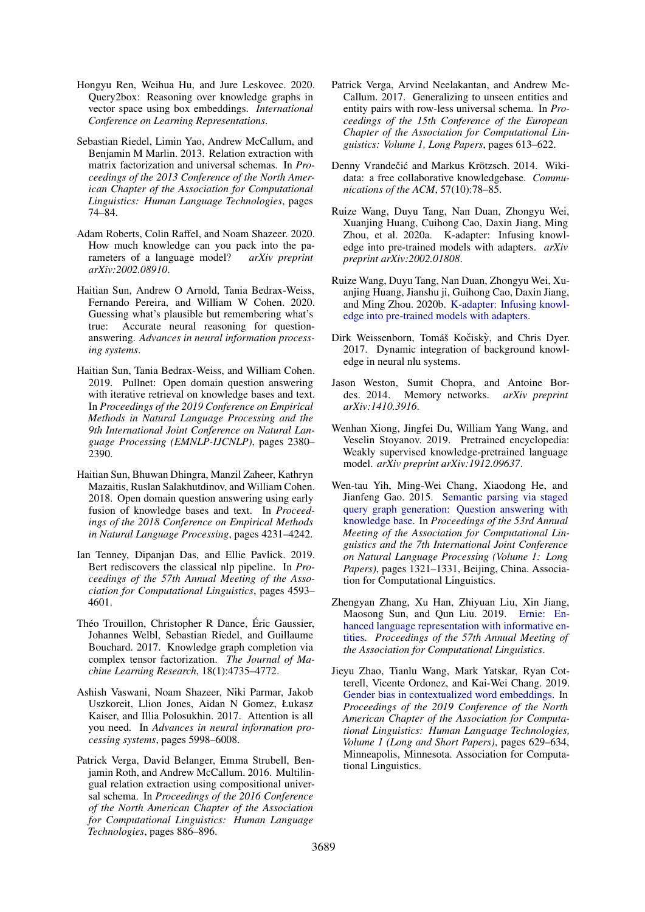- <span id="page-11-13"></span>Hongyu Ren, Weihua Hu, and Jure Leskovec. 2020. Query2box: Reasoning over knowledge graphs in vector space using box embeddings. *International Conference on Learning Representations*.
- <span id="page-11-8"></span>Sebastian Riedel, Limin Yao, Andrew McCallum, and Benjamin M Marlin. 2013. Relation extraction with matrix factorization and universal schemas. In *Proceedings of the 2013 Conference of the North American Chapter of the Association for Computational Linguistics: Human Language Technologies*, pages 74–84.
- <span id="page-11-1"></span>Adam Roberts, Colin Raffel, and Noam Shazeer. 2020. How much knowledge can you pack into the parameters of a language model? *arXiv preprint arXiv:2002.08910*.
- <span id="page-11-6"></span>Haitian Sun, Andrew O Arnold, Tania Bedrax-Weiss, Fernando Pereira, and William W Cohen. 2020. Guessing what's plausible but remembering what's true: Accurate neural reasoning for questionanswering. *Advances in neural information processing systems*.
- <span id="page-11-12"></span>Haitian Sun, Tania Bedrax-Weiss, and William Cohen. 2019. Pullnet: Open domain question answering with iterative retrieval on knowledge bases and text. In *Proceedings of the 2019 Conference on Empirical Methods in Natural Language Processing and the 9th International Joint Conference on Natural Language Processing (EMNLP-IJCNLP)*, pages 2380– 2390.
- <span id="page-11-11"></span>Haitian Sun, Bhuwan Dhingra, Manzil Zaheer, Kathryn Mazaitis, Ruslan Salakhutdinov, and William Cohen. 2018. Open domain question answering using early fusion of knowledge bases and text. In *Proceedings of the 2018 Conference on Empirical Methods in Natural Language Processing*, pages 4231–4242.
- <span id="page-11-0"></span>Ian Tenney, Dipanjan Das, and Ellie Pavlick. 2019. Bert rediscovers the classical nlp pipeline. In *Proceedings of the 57th Annual Meeting of the Association for Computational Linguistics*, pages 4593– 4601.
- <span id="page-11-7"></span>Théo Trouillon, Christopher R Dance, Éric Gaussier, Johannes Welbl, Sebastian Riedel, and Guillaume Bouchard. 2017. Knowledge graph completion via complex tensor factorization. *The Journal of Machine Learning Research*, 18(1):4735–4772.
- <span id="page-11-3"></span>Ashish Vaswani, Noam Shazeer, Niki Parmar, Jakob Uszkoreit, Llion Jones, Aidan N Gomez, Łukasz Kaiser, and Illia Polosukhin. 2017. Attention is all you need. In *Advances in neural information processing systems*, pages 5998–6008.
- <span id="page-11-9"></span>Patrick Verga, David Belanger, Emma Strubell, Benjamin Roth, and Andrew McCallum. 2016. Multilingual relation extraction using compositional universal schema. In *Proceedings of the 2016 Conference of the North American Chapter of the Association for Computational Linguistics: Human Language Technologies*, pages 886–896.
- <span id="page-11-10"></span>Patrick Verga, Arvind Neelakantan, and Andrew Mc-Callum. 2017. Generalizing to unseen entities and entity pairs with row-less universal schema. In *Proceedings of the 15th Conference of the European Chapter of the Association for Computational Linguistics: Volume 1, Long Papers*, pages 613–622.
- <span id="page-11-2"></span>Denny Vrandečić and Markus Krötzsch. 2014. Wikidata: a free collaborative knowledgebase. *Communications of the ACM*, 57(10):78–85.
- <span id="page-11-4"></span>Ruize Wang, Duyu Tang, Nan Duan, Zhongyu Wei, Xuanjing Huang, Cuihong Cao, Daxin Jiang, Ming Zhou, et al. 2020a. K-adapter: Infusing knowledge into pre-trained models with adapters. *arXiv preprint arXiv:2002.01808*.
- <span id="page-11-16"></span>Ruize Wang, Duyu Tang, Nan Duan, Zhongyu Wei, Xuanjing Huang, Jianshu ji, Guihong Cao, Daxin Jiang, and Ming Zhou. 2020b. [K-adapter: Infusing knowl](http://arxiv.org/abs/2002.01808)[edge into pre-trained models with adapters.](http://arxiv.org/abs/2002.01808)
- <span id="page-11-18"></span>Dirk Weissenborn, Tomáš Kočiskỳ, and Chris Dyer. 2017. Dynamic integration of background knowledge in neural nlu systems.
- <span id="page-11-14"></span>Jason Weston, Sumit Chopra, and Antoine Bordes. 2014. Memory networks. *arXiv preprint arXiv:1410.3916*.
- <span id="page-11-15"></span>Wenhan Xiong, Jingfei Du, William Yang Wang, and Veselin Stoyanov. 2019. Pretrained encyclopedia: Weakly supervised knowledge-pretrained language model. *arXiv preprint arXiv:1912.09637*.
- <span id="page-11-5"></span>Wen-tau Yih, Ming-Wei Chang, Xiaodong He, and Jianfeng Gao. 2015. [Semantic parsing via staged](http://www.aclweb.org/anthology/P15-1128) [query graph generation: Question answering with](http://www.aclweb.org/anthology/P15-1128) [knowledge base.](http://www.aclweb.org/anthology/P15-1128) In *Proceedings of the 53rd Annual Meeting of the Association for Computational Linguistics and the 7th International Joint Conference on Natural Language Processing (Volume 1: Long Papers)*, pages 1321–1331, Beijing, China. Association for Computational Linguistics.
- <span id="page-11-17"></span>Zhengyan Zhang, Xu Han, Zhiyuan Liu, Xin Jiang, Maosong Sun, and Qun Liu. 2019. [Ernie: En](https://doi.org/10.18653/v1/p19-1139)[hanced language representation with informative en](https://doi.org/10.18653/v1/p19-1139)[tities.](https://doi.org/10.18653/v1/p19-1139) *Proceedings of the 57th Annual Meeting of the Association for Computational Linguistics*.
- <span id="page-11-19"></span>Jieyu Zhao, Tianlu Wang, Mark Yatskar, Ryan Cotterell, Vicente Ordonez, and Kai-Wei Chang. 2019. [Gender bias in contextualized word embeddings.](https://doi.org/10.18653/v1/N19-1064) In *Proceedings of the 2019 Conference of the North American Chapter of the Association for Computational Linguistics: Human Language Technologies, Volume 1 (Long and Short Papers)*, pages 629–634, Minneapolis, Minnesota. Association for Computational Linguistics.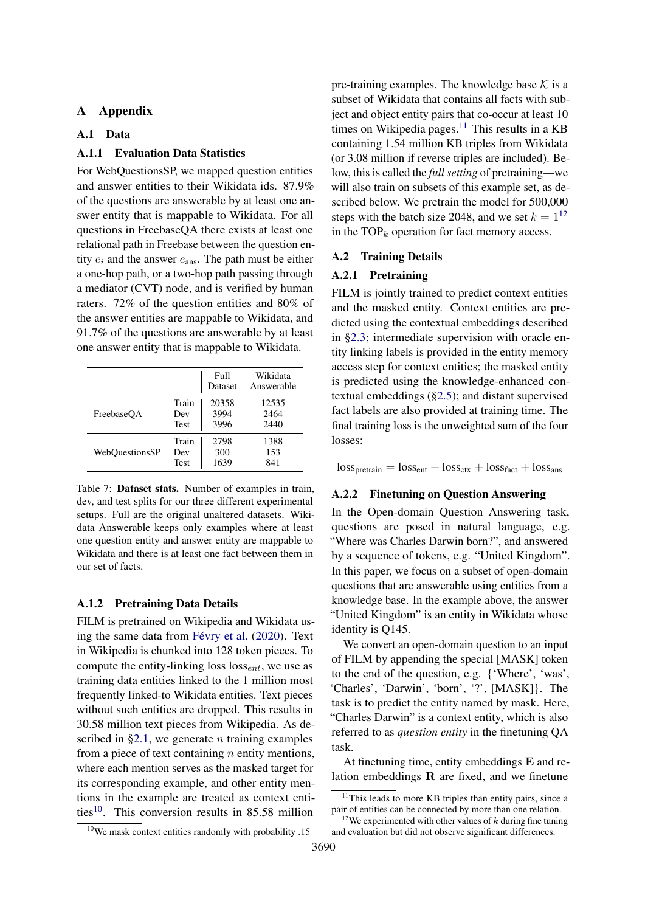# A Appendix

# <span id="page-12-2"></span>A.1 Data

# A.1.1 Evaluation Data Statistics

For WebQuestionsSP, we mapped question entities and answer entities to their Wikidata ids. 87.9% of the questions are answerable by at least one answer entity that is mappable to Wikidata. For all questions in FreebaseQA there exists at least one relational path in Freebase between the question entity  $e_i$  and the answer  $e_{ans}$ . The path must be either a one-hop path, or a two-hop path passing through a mediator (CVT) node, and is verified by human raters. 72% of the question entities and 80% of the answer entities are mappable to Wikidata, and 91.7% of the questions are answerable by at least one answer entity that is mappable to Wikidata.

|                |             | Full<br>Dataset | Wikidata<br>Answerable |
|----------------|-------------|-----------------|------------------------|
| FreebaseOA     | Train       | 20358           | 12535                  |
|                | Dev         | 3994            | 2464                   |
|                | <b>Test</b> | 3996            | 2440                   |
| WebOuestionsSP | Train       | 2798            | 1388                   |
|                | Dev         | 300             | 153                    |
|                | <b>Test</b> | 1639            | 841                    |

Table 7: Dataset stats. Number of examples in train, dev, and test splits for our three different experimental setups. Full are the original unaltered datasets. Wikidata Answerable keeps only examples where at least one question entity and answer entity are mappable to Wikidata and there is at least one fact between them in our set of facts.

### A.1.2 Pretraining Data Details

FILM is pretrained on Wikipedia and Wikidata using the same data from [Févry et al.](#page-9-6) [\(2020\)](#page-9-6). Text in Wikipedia is chunked into 128 token pieces. To compute the entity-linking loss  $loss_{ent}$ , we use as training data entities linked to the 1 million most frequently linked-to Wikidata entities. Text pieces without such entities are dropped. This results in 30.58 million text pieces from Wikipedia. As described in  $\S 2.1$ , we generate *n* training examples from a piece of text containing  $n$  entity mentions, where each mention serves as the masked target for its corresponding example, and other entity mentions in the example are treated as context enti-ties<sup>[10](#page-12-3)</sup>. This conversion results in 85.58 million

pre-training examples. The knowledge base  $K$  is a subset of Wikidata that contains all facts with subject and object entity pairs that co-occur at least 10 times on Wikipedia pages. $11$  This results in a KB containing 1.54 million KB triples from Wikidata (or 3.08 million if reverse triples are included). Below, this is called the *full setting* of pretraining—we will also train on subsets of this example set, as described below. We pretrain the model for 500,000 steps with the batch size 2048, and we set  $k = 1^{12}$  $k = 1^{12}$  $k = 1^{12}$ in the  $TOP_k$  operation for fact memory access.

# A.2 Training Details

#### <span id="page-12-1"></span>A.2.1 Pretraining

FILM is jointly trained to predict context entities and the masked entity. Context entities are predicted using the contextual embeddings described in [§2.3;](#page-2-1) intermediate supervision with oracle entity linking labels is provided in the entity memory access step for context entities; the masked entity is predicted using the knowledge-enhanced contextual embeddings ([§2.5\)](#page-3-0); and distant supervised fact labels are also provided at training time. The final training loss is the unweighted sum of the four losses:

 $loss_{pretrain} = loss_{ent} + loss_{ctx} + loss_{fact} + loss_{ans}$ 

#### <span id="page-12-0"></span>A.2.2 Finetuning on Question Answering

In the Open-domain Question Answering task, questions are posed in natural language, e.g. "Where was Charles Darwin born?", and answered by a sequence of tokens, e.g. "United Kingdom". In this paper, we focus on a subset of open-domain questions that are answerable using entities from a knowledge base. In the example above, the answer "United Kingdom" is an entity in Wikidata whose identity is Q145.

We convert an open-domain question to an input of FILM by appending the special [MASK] token to the end of the question, e.g. {'Where', 'was', 'Charles', 'Darwin', 'born', '?', [MASK]}. The task is to predict the entity named by mask. Here, "Charles Darwin" is a context entity, which is also referred to as *question entity* in the finetuning QA task.

At finetuning time, entity embeddings E and relation embeddings  $\bf{R}$  are fixed, and we finetune

<span id="page-12-3"></span> $10$ We mask context entities randomly with probability .15

<span id="page-12-4"></span> $11$ This leads to more KB triples than entity pairs, since a pair of entities can be connected by more than one relation.

<span id="page-12-5"></span><sup>&</sup>lt;sup>12</sup>We experimented with other values of  $k$  during fine tuning and evaluation but did not observe significant differences.